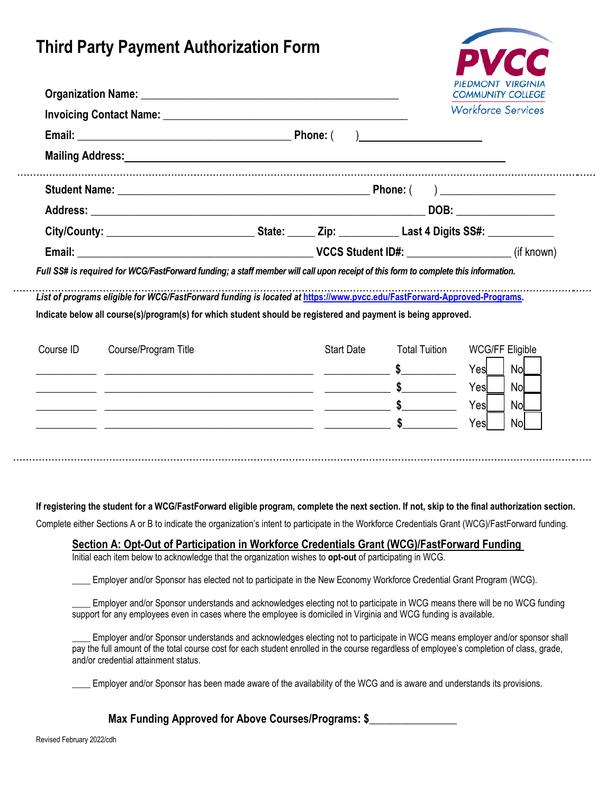## **Third Party Payment Authorization Form**



|           |                                                                                                                                                                                                                                          |  |                   |                                       | <b>COMMUNITY COLLEGE</b><br><b>Workforce Services</b> |  |
|-----------|------------------------------------------------------------------------------------------------------------------------------------------------------------------------------------------------------------------------------------------|--|-------------------|---------------------------------------|-------------------------------------------------------|--|
|           |                                                                                                                                                                                                                                          |  |                   |                                       |                                                       |  |
|           | Mailing Address: Mailing Address: All Annual Address: All Annual Address: All Annual Address: All Annual Address: All Annual Address: All Annual Address: All Annual Address: All Annual Address: All Annual Address: All Annu           |  |                   |                                       |                                                       |  |
|           |                                                                                                                                                                                                                                          |  |                   |                                       |                                                       |  |
|           |                                                                                                                                                                                                                                          |  |                   |                                       |                                                       |  |
|           |                                                                                                                                                                                                                                          |  |                   |                                       |                                                       |  |
|           |                                                                                                                                                                                                                                          |  |                   |                                       |                                                       |  |
|           | Full SS# is required for WCG/FastForward funding; a staff member will call upon receipt of this form to complete this information.                                                                                                       |  |                   |                                       |                                                       |  |
|           | List of programs eligible for WCG/FastForward funding is located at https://www.pvcc.edu/FastForward-Approved-Programs.<br>Indicate below all course(s)/program(s) for which student should be registered and payment is being approved. |  |                   |                                       |                                                       |  |
|           | Course/Program Title                                                                                                                                                                                                                     |  | <b>Start Date</b> | <b>Total Tuition</b>                  | <b>WCG/FF Eligible</b>                                |  |
|           |                                                                                                                                                                                                                                          |  |                   |                                       | <b>Nol</b><br>Yes                                     |  |
|           |                                                                                                                                                                                                                                          |  |                   | $\sim$                                | Yes<br><b>Nol</b>                                     |  |
| Course ID | <u> 2002 - Andrea San Andrew Maria (h. 1878).</u>                                                                                                                                                                                        |  |                   | $\frac{1}{2}$<br>$\frac{1}{\sqrt{2}}$ | Yes<br><b>Nol</b><br>Nol<br>Yesl                      |  |

#### **If registering the student for a WCG/FastForward eligible program, complete the next section. If not, skip to the final authorization section.**

Complete either Sections A or B to indicate the organization's intent to participate in the Workforce Credentials Grant (WCG)/FastForward funding.

### **Section A: Opt-Out of Participation in Workforce Credentials Grant (WCG)/FastForward Funding**

Initial each item below to acknowledge that the organization wishes to **opt-out** of participating in WCG.

Employer and/or Sponsor has elected not to participate in the New Economy Workforce Credential Grant Program (WCG).

Employer and/or Sponsor understands and acknowledges electing not to participate in WCG means there will be no WCG funding support for any employees even in cases where the employee is domiciled in Virginia and WCG funding is available.

Employer and/or Sponsor understands and acknowledges electing not to participate in WCG means employer and/or sponsor shall pay the full amount of the total course cost for each student enrolled in the course regardless of employee's completion of class, grade, and/or credential attainment status.

Employer and/or Sponsor has been made aware of the availability of the WCG and is aware and understands its provisions.

**Max Funding Approved for Above Courses/Programs: \$\_\_\_\_\_\_\_\_\_\_\_\_\_\_\_\_**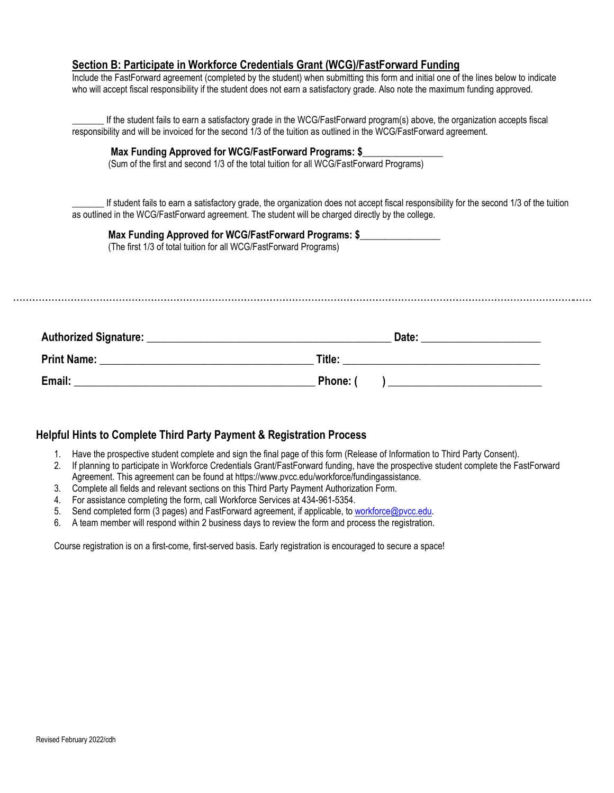#### **Section B: Participate in Workforce Credentials Grant (WCG)/FastForward Funding**

Include the FastForward agreement (completed by the student) when submitting this form and initial one of the lines below to indicate who will accept fiscal responsibility if the student does not earn a satisfactory grade. Also note the maximum funding approved.

**\_\_\_\_\_\_\_** If the student fails to earn a satisfactory grade in the WCG/FastForward program(s) above, the organization accepts fiscal responsibility and will be invoiced for the second 1/3 of the tuition as outlined in the WCG/FastForward agreement.

#### **Max Funding Approved for WCG/FastForward Programs: \$**

(Sum of the first and second 1/3 of the total tuition for all WCG/FastForward Programs)

If student fails to earn a satisfactory grade, the organization does not accept fiscal responsibility for the second 1/3 of the tuition as outlined in the WCG/FastForward agreement. The student will be charged directly by the college.

**Max Funding Approved for WCG/FastForward Programs: \$\_\_\_\_\_\_\_\_\_\_\_\_\_\_\_\_** (The first 1/3 of total tuition for all WCG/FastForward Programs)

| Authorized Signature: | Date:  |
|-----------------------|--------|
| <b>Print Name:</b>    | Title: |
| Email:                | Phone: |

#### **Helpful Hints to Complete Third Party Payment & Registration Process**

- 1. Have the prospective student complete and sign the final page of this form (Release of Information to Third Party Consent).
- 2. If planning to participate in Workforce Credentials Grant/FastForward funding, have the prospective student complete the FastForward Agreement. This agreement can be found at [https://www.pvcc.edu/workforce/fundingassistance.](https://www.pvcc.edu/workforce/fundingassistance)
- 3. Complete all fields and relevant sections on this Third Party Payment Authorization Form.
- 4. For assistance completing the form, call Workforce Services at 434-961-5354.
- 5. Send completed form (3 pages) and FastForward agreement, if applicable, to [workforce@pvcc.edu.](mailto:workforce@pvcc.edu)
- 6. A team member will respond within 2 business days to review the form and process the registration.

Course registration is on a first-come, first-served basis. Early registration is encouraged to secure a space!